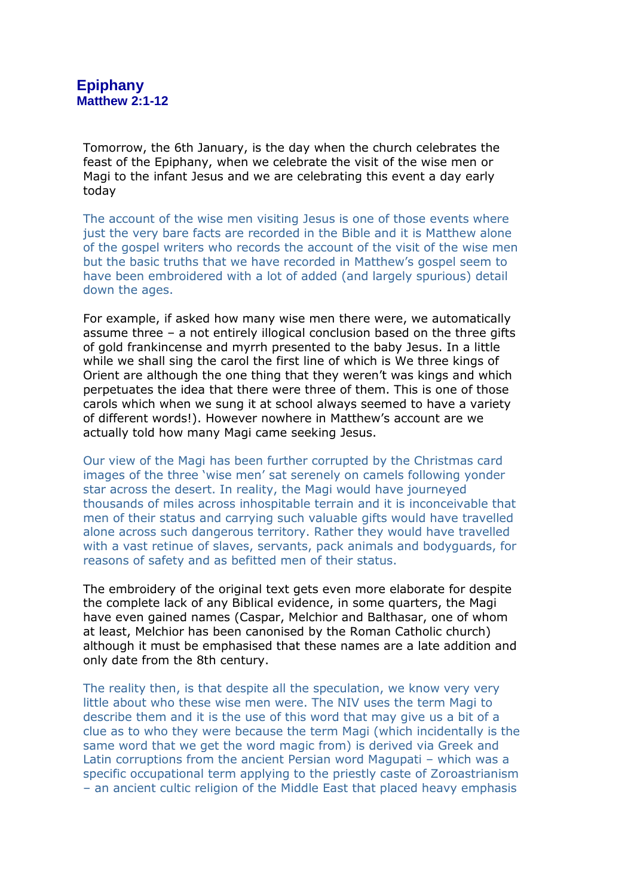Tomorrow, the 6th January, is the day when the church celebrates the feast of the Epiphany, when we celebrate the visit of the wise men or Magi to the infant Jesus and we are celebrating this event a day early today

The account of the wise men visiting Jesus is one of those events where just the very bare facts are recorded in the Bible and it is Matthew alone of the gospel writers who records the account of the visit of the wise men but the basic truths that we have recorded in Matthew's gospel seem to have been embroidered with a lot of added (and largely spurious) detail down the ages.

For example, if asked how many wise men there were, we automatically assume three – a not entirely illogical conclusion based on the three gifts of gold frankincense and myrrh presented to the baby Jesus. In a little while we shall sing the carol the first line of which is We three kings of Orient are although the one thing that they weren't was kings and which perpetuates the idea that there were three of them. This is one of those carols which when we sung it at school always seemed to have a variety of different words!). However nowhere in Matthew's account are we actually told how many Magi came seeking Jesus.

Our view of the Magi has been further corrupted by the Christmas card images of the three 'wise men' sat serenely on camels following yonder star across the desert. In reality, the Magi would have journeyed thousands of miles across inhospitable terrain and it is inconceivable that men of their status and carrying such valuable gifts would have travelled alone across such dangerous territory. Rather they would have travelled with a vast retinue of slaves, servants, pack animals and bodyguards, for reasons of safety and as befitted men of their status.

The embroidery of the original text gets even more elaborate for despite the complete lack of any Biblical evidence, in some quarters, the Magi have even gained names (Caspar, Melchior and Balthasar, one of whom at least, Melchior has been canonised by the Roman Catholic church) although it must be emphasised that these names are a late addition and only date from the 8th century.

The reality then, is that despite all the speculation, we know very very little about who these wise men were. The NIV uses the term Magi to describe them and it is the use of this word that may give us a bit of a clue as to who they were because the term Magi (which incidentally is the same word that we get the word magic from) is derived via Greek and Latin corruptions from the ancient Persian word Magupati – which was a specific occupational term applying to the priestly caste of Zoroastrianism – an ancient cultic religion of the Middle East that placed heavy emphasis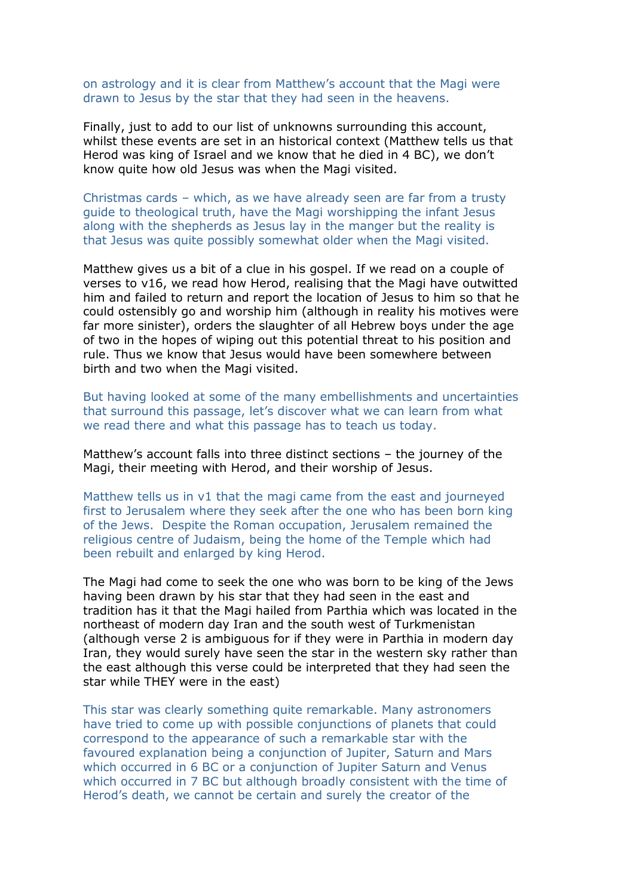on astrology and it is clear from Matthew's account that the Magi were drawn to Jesus by the star that they had seen in the heavens.

Finally, just to add to our list of unknowns surrounding this account, whilst these events are set in an historical context (Matthew tells us that Herod was king of Israel and we know that he died in 4 BC), we don't know quite how old Jesus was when the Magi visited.

Christmas cards – which, as we have already seen are far from a trusty guide to theological truth, have the Magi worshipping the infant Jesus along with the shepherds as Jesus lay in the manger but the reality is that Jesus was quite possibly somewhat older when the Magi visited.

Matthew gives us a bit of a clue in his gospel. If we read on a couple of verses to v16, we read how Herod, realising that the Magi have outwitted him and failed to return and report the location of Jesus to him so that he could ostensibly go and worship him (although in reality his motives were far more sinister), orders the slaughter of all Hebrew boys under the age of two in the hopes of wiping out this potential threat to his position and rule. Thus we know that Jesus would have been somewhere between birth and two when the Magi visited.

But having looked at some of the many embellishments and uncertainties that surround this passage, let's discover what we can learn from what we read there and what this passage has to teach us today.

Matthew's account falls into three distinct sections – the journey of the Magi, their meeting with Herod, and their worship of Jesus.

Matthew tells us in v1 that the magi came from the east and journeyed first to Jerusalem where they seek after the one who has been born king of the Jews. Despite the Roman occupation, Jerusalem remained the religious centre of Judaism, being the home of the Temple which had been rebuilt and enlarged by king Herod.

The Magi had come to seek the one who was born to be king of the Jews having been drawn by his star that they had seen in the east and tradition has it that the Magi hailed from Parthia which was located in the northeast of modern day Iran and the south west of Turkmenistan (although verse 2 is ambiguous for if they were in Parthia in modern day Iran, they would surely have seen the star in the western sky rather than the east although this verse could be interpreted that they had seen the star while THEY were in the east)

This star was clearly something quite remarkable. Many astronomers have tried to come up with possible conjunctions of planets that could correspond to the appearance of such a remarkable star with the favoured explanation being a conjunction of Jupiter, Saturn and Mars which occurred in 6 BC or a conjunction of Jupiter Saturn and Venus which occurred in 7 BC but although broadly consistent with the time of Herod's death, we cannot be certain and surely the creator of the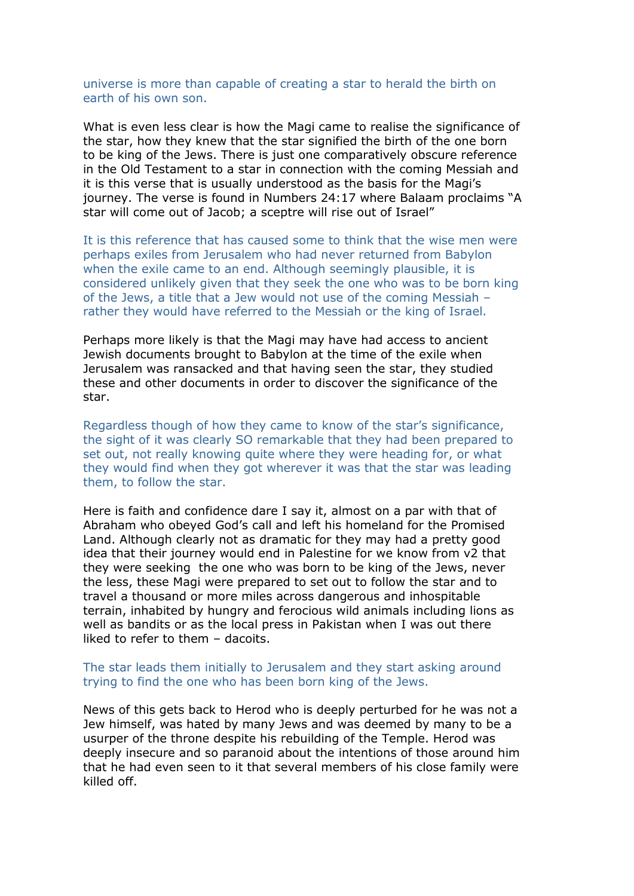universe is more than capable of creating a star to herald the birth on earth of his own son.

What is even less clear is how the Magi came to realise the significance of the star, how they knew that the star signified the birth of the one born to be king of the Jews. There is just one comparatively obscure reference in the Old Testament to a star in connection with the coming Messiah and it is this verse that is usually understood as the basis for the Magi's journey. The verse is found in Numbers 24:17 where Balaam proclaims "A star will come out of Jacob; a sceptre will rise out of Israel"

It is this reference that has caused some to think that the wise men were perhaps exiles from Jerusalem who had never returned from Babylon when the exile came to an end. Although seemingly plausible, it is considered unlikely given that they seek the one who was to be born king of the Jews, a title that a Jew would not use of the coming Messiah – rather they would have referred to the Messiah or the king of Israel.

Perhaps more likely is that the Magi may have had access to ancient Jewish documents brought to Babylon at the time of the exile when Jerusalem was ransacked and that having seen the star, they studied these and other documents in order to discover the significance of the star.

Regardless though of how they came to know of the star's significance, the sight of it was clearly SO remarkable that they had been prepared to set out, not really knowing quite where they were heading for, or what they would find when they got wherever it was that the star was leading them, to follow the star.

Here is faith and confidence dare I say it, almost on a par with that of Abraham who obeyed God's call and left his homeland for the Promised Land. Although clearly not as dramatic for they may had a pretty good idea that their journey would end in Palestine for we know from v2 that they were seeking the one who was born to be king of the Jews, never the less, these Magi were prepared to set out to follow the star and to travel a thousand or more miles across dangerous and inhospitable terrain, inhabited by hungry and ferocious wild animals including lions as well as bandits or as the local press in Pakistan when I was out there liked to refer to them – dacoits.

## The star leads them initially to Jerusalem and they start asking around trying to find the one who has been born king of the Jews.

News of this gets back to Herod who is deeply perturbed for he was not a Jew himself, was hated by many Jews and was deemed by many to be a usurper of the throne despite his rebuilding of the Temple. Herod was deeply insecure and so paranoid about the intentions of those around him that he had even seen to it that several members of his close family were killed off.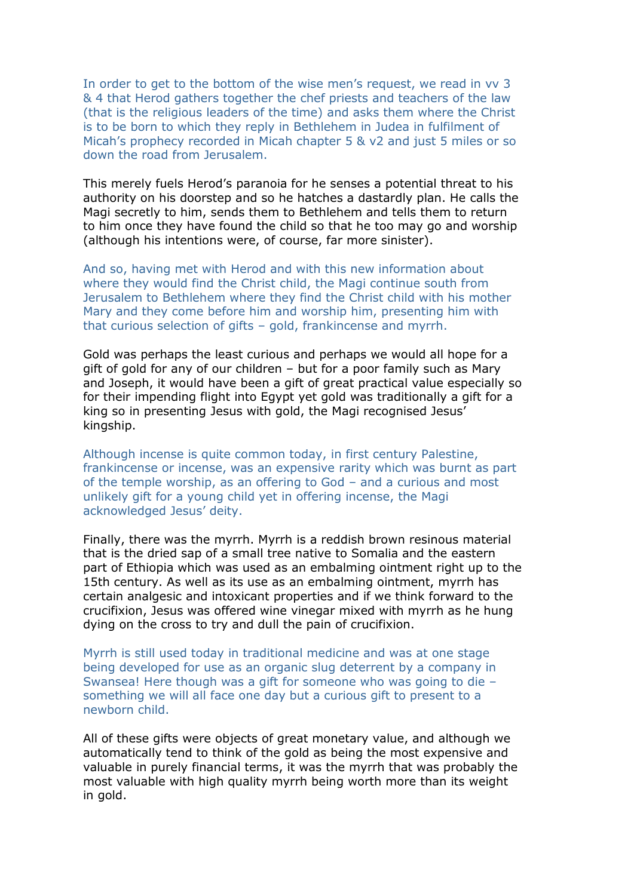In order to get to the bottom of the wise men's request, we read in vv 3 & 4 that Herod gathers together the chef priests and teachers of the law (that is the religious leaders of the time) and asks them where the Christ is to be born to which they reply in Bethlehem in Judea in fulfilment of Micah's prophecy recorded in Micah chapter 5 & v2 and just 5 miles or so down the road from Jerusalem.

This merely fuels Herod's paranoia for he senses a potential threat to his authority on his doorstep and so he hatches a dastardly plan. He calls the Magi secretly to him, sends them to Bethlehem and tells them to return to him once they have found the child so that he too may go and worship (although his intentions were, of course, far more sinister).

And so, having met with Herod and with this new information about where they would find the Christ child, the Magi continue south from Jerusalem to Bethlehem where they find the Christ child with his mother Mary and they come before him and worship him, presenting him with that curious selection of gifts – gold, frankincense and myrrh.

Gold was perhaps the least curious and perhaps we would all hope for a gift of gold for any of our children – but for a poor family such as Mary and Joseph, it would have been a gift of great practical value especially so for their impending flight into Egypt yet gold was traditionally a gift for a king so in presenting Jesus with gold, the Magi recognised Jesus' kingship.

Although incense is quite common today, in first century Palestine, frankincense or incense, was an expensive rarity which was burnt as part of the temple worship, as an offering to God – and a curious and most unlikely gift for a young child yet in offering incense, the Magi acknowledged Jesus' deity.

Finally, there was the myrrh. Myrrh is a reddish brown resinous material that is the dried sap of a small tree native to Somalia and the eastern part of Ethiopia which was used as an embalming ointment right up to the 15th century. As well as its use as an embalming ointment, myrrh has certain analgesic and intoxicant properties and if we think forward to the crucifixion, Jesus was offered wine vinegar mixed with myrrh as he hung dying on the cross to try and dull the pain of crucifixion.

Myrrh is still used today in traditional medicine and was at one stage being developed for use as an organic slug deterrent by a company in Swansea! Here though was a gift for someone who was going to die – something we will all face one day but a curious gift to present to a newborn child.

All of these gifts were objects of great monetary value, and although we automatically tend to think of the gold as being the most expensive and valuable in purely financial terms, it was the myrrh that was probably the most valuable with high quality myrrh being worth more than its weight in gold.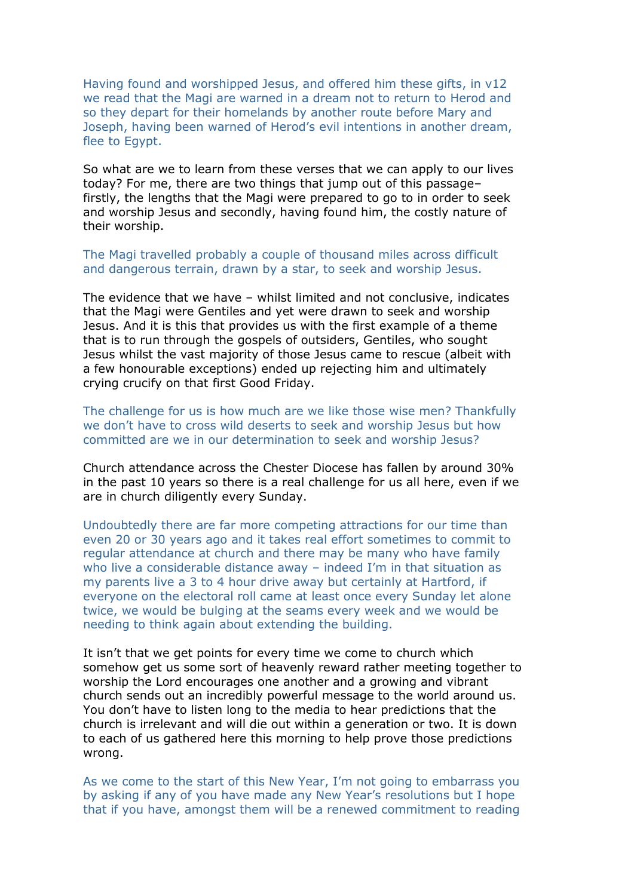Having found and worshipped Jesus, and offered him these gifts, in v12 we read that the Magi are warned in a dream not to return to Herod and so they depart for their homelands by another route before Mary and Joseph, having been warned of Herod's evil intentions in another dream, flee to Egypt.

So what are we to learn from these verses that we can apply to our lives today? For me, there are two things that jump out of this passage– firstly, the lengths that the Magi were prepared to go to in order to seek and worship Jesus and secondly, having found him, the costly nature of their worship.

The Magi travelled probably a couple of thousand miles across difficult and dangerous terrain, drawn by a star, to seek and worship Jesus.

The evidence that we have – whilst limited and not conclusive, indicates that the Magi were Gentiles and yet were drawn to seek and worship Jesus. And it is this that provides us with the first example of a theme that is to run through the gospels of outsiders, Gentiles, who sought Jesus whilst the vast majority of those Jesus came to rescue (albeit with a few honourable exceptions) ended up rejecting him and ultimately crying crucify on that first Good Friday.

The challenge for us is how much are we like those wise men? Thankfully we don't have to cross wild deserts to seek and worship Jesus but how committed are we in our determination to seek and worship Jesus?

Church attendance across the Chester Diocese has fallen by around 30% in the past 10 years so there is a real challenge for us all here, even if we are in church diligently every Sunday.

Undoubtedly there are far more competing attractions for our time than even 20 or 30 years ago and it takes real effort sometimes to commit to regular attendance at church and there may be many who have family who live a considerable distance away – indeed I'm in that situation as my parents live a 3 to 4 hour drive away but certainly at Hartford, if everyone on the electoral roll came at least once every Sunday let alone twice, we would be bulging at the seams every week and we would be needing to think again about extending the building.

It isn't that we get points for every time we come to church which somehow get us some sort of heavenly reward rather meeting together to worship the Lord encourages one another and a growing and vibrant church sends out an incredibly powerful message to the world around us. You don't have to listen long to the media to hear predictions that the church is irrelevant and will die out within a generation or two. It is down to each of us gathered here this morning to help prove those predictions wrong.

As we come to the start of this New Year, I'm not going to embarrass you by asking if any of you have made any New Year's resolutions but I hope that if you have, amongst them will be a renewed commitment to reading